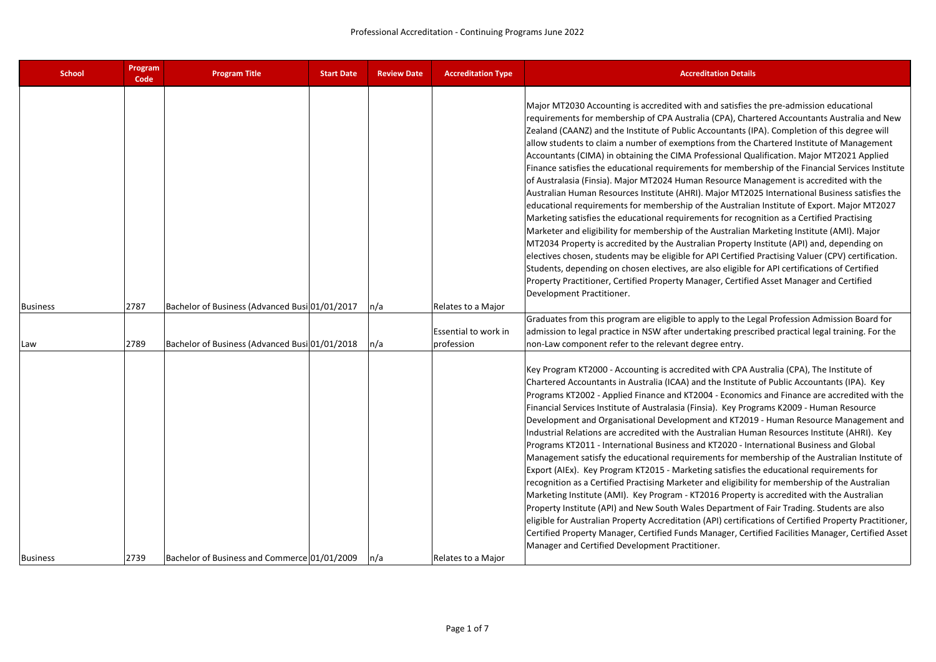| <b>School</b>   | Program<br>Code | <b>Program Title</b>                           | <b>Start Date</b> | <b>Review Date</b> | <b>Accreditation Type</b>   | <b>Accreditation Details</b>                                                                                                                                                                                                                                                                                                                                                                                                                                                                                                                                                                                                                                                                                                                                                                                                                                                                                                                                                                                                                                                                                                                                                                                                                                                                                                                                                                                                                                                                                 |
|-----------------|-----------------|------------------------------------------------|-------------------|--------------------|-----------------------------|--------------------------------------------------------------------------------------------------------------------------------------------------------------------------------------------------------------------------------------------------------------------------------------------------------------------------------------------------------------------------------------------------------------------------------------------------------------------------------------------------------------------------------------------------------------------------------------------------------------------------------------------------------------------------------------------------------------------------------------------------------------------------------------------------------------------------------------------------------------------------------------------------------------------------------------------------------------------------------------------------------------------------------------------------------------------------------------------------------------------------------------------------------------------------------------------------------------------------------------------------------------------------------------------------------------------------------------------------------------------------------------------------------------------------------------------------------------------------------------------------------------|
| <b>Business</b> | 2787            | Bachelor of Business (Advanced Busi 01/01/2017 |                   | n/a                | Relates to a Major          | Major MT2030 Accounting is accredited with and satisfies the pre-admission educational<br>requirements for membership of CPA Australia (CPA), Chartered Accountants Australia and New<br>Zealand (CAANZ) and the Institute of Public Accountants (IPA). Completion of this degree will<br>allow students to claim a number of exemptions from the Chartered Institute of Management<br>Accountants (CIMA) in obtaining the CIMA Professional Qualification. Major MT2021 Applied<br>Finance satisfies the educational requirements for membership of the Financial Services Institute<br>of Australasia (Finsia). Major MT2024 Human Resource Management is accredited with the<br>Australian Human Resources Institute (AHRI). Major MT2025 International Business satisfies the<br>educational requirements for membership of the Australian Institute of Export. Major MT2027<br>Marketing satisfies the educational requirements for recognition as a Certified Practising<br>Marketer and eligibility for membership of the Australian Marketing Institute (AMI). Major<br>MT2034 Property is accredited by the Australian Property Institute (API) and, depending on<br>electives chosen, students may be eligible for API Certified Practising Valuer (CPV) certification.<br>Students, depending on chosen electives, are also eligible for API certifications of Certified<br>Property Practitioner, Certified Property Manager, Certified Asset Manager and Certified<br>Development Practitioner. |
|                 |                 |                                                |                   |                    |                             | Graduates from this program are eligible to apply to the Legal Profession Admission Board for                                                                                                                                                                                                                                                                                                                                                                                                                                                                                                                                                                                                                                                                                                                                                                                                                                                                                                                                                                                                                                                                                                                                                                                                                                                                                                                                                                                                                |
|                 |                 |                                                |                   |                    | <b>Essential to work in</b> | admission to legal practice in NSW after undertaking prescribed practical legal training. For the                                                                                                                                                                                                                                                                                                                                                                                                                                                                                                                                                                                                                                                                                                                                                                                                                                                                                                                                                                                                                                                                                                                                                                                                                                                                                                                                                                                                            |
| Law             | 2789            | Bachelor of Business (Advanced Busi 01/01/2018 |                   | n/a                | profession                  | non-Law component refer to the relevant degree entry.                                                                                                                                                                                                                                                                                                                                                                                                                                                                                                                                                                                                                                                                                                                                                                                                                                                                                                                                                                                                                                                                                                                                                                                                                                                                                                                                                                                                                                                        |
|                 |                 |                                                |                   |                    |                             | Key Program KT2000 - Accounting is accredited with CPA Australia (CPA), The Institute of<br>Chartered Accountants in Australia (ICAA) and the Institute of Public Accountants (IPA). Key<br>Programs KT2002 - Applied Finance and KT2004 - Economics and Finance are accredited with the<br>Financial Services Institute of Australasia (Finsia). Key Programs K2009 - Human Resource<br>Development and Organisational Development and KT2019 - Human Resource Management and<br>Industrial Relations are accredited with the Australian Human Resources Institute (AHRI). Key<br>Programs KT2011 - International Business and KT2020 - International Business and Global<br>Management satisfy the educational requirements for membership of the Australian Institute of<br>Export (AIEx). Key Program KT2015 - Marketing satisfies the educational requirements for<br>recognition as a Certified Practising Marketer and eligibility for membership of the Australian<br>Marketing Institute (AMI). Key Program - KT2016 Property is accredited with the Australian<br>Property Institute (API) and New South Wales Department of Fair Trading. Students are also<br>eligible for Australian Property Accreditation (API) certifications of Certified Property Practitioner,<br>Certified Property Manager, Certified Funds Manager, Certified Facilities Manager, Certified Asset<br>Manager and Certified Development Practitioner.                                                                   |
| <b>Business</b> | 2739            | Bachelor of Business and Commerce 01/01/2009   |                   | n/a                | Relates to a Maior          |                                                                                                                                                                                                                                                                                                                                                                                                                                                                                                                                                                                                                                                                                                                                                                                                                                                                                                                                                                                                                                                                                                                                                                                                                                                                                                                                                                                                                                                                                                              |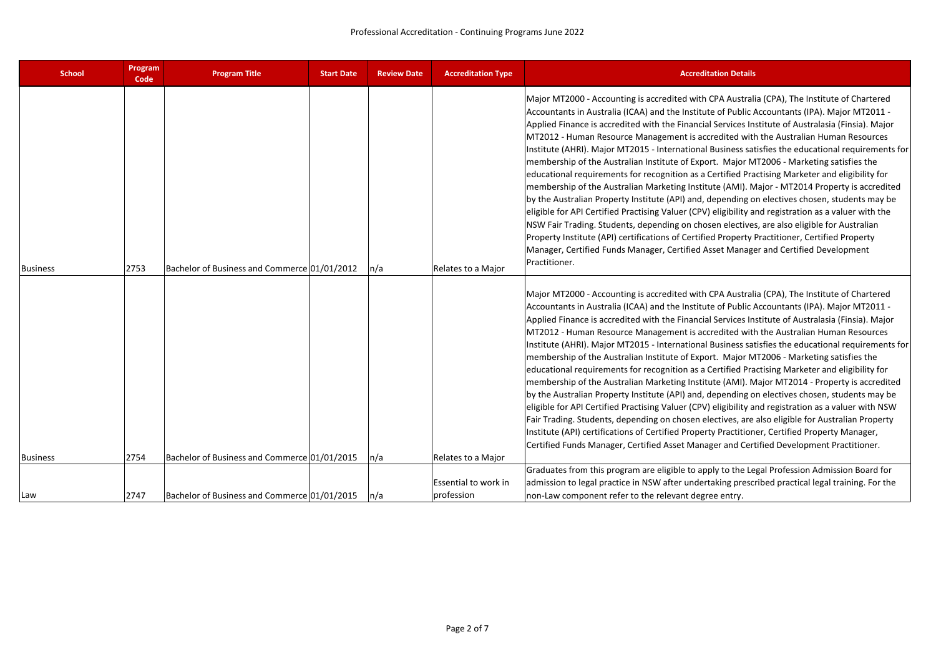| <b>School</b>   | Program<br>Code | <b>Program Title</b>                         | <b>Start Date</b> | <b>Review Date</b> | <b>Accreditation Type</b>          | <b>Accreditation Details</b>                                                                                                                                                                                                                                                                                                                                                                                                                                                                                                                                                                                                                                                                                                                                                                                                                                                                                                                                                                                                                                                                                                                                                                                                                                                                                         |
|-----------------|-----------------|----------------------------------------------|-------------------|--------------------|------------------------------------|----------------------------------------------------------------------------------------------------------------------------------------------------------------------------------------------------------------------------------------------------------------------------------------------------------------------------------------------------------------------------------------------------------------------------------------------------------------------------------------------------------------------------------------------------------------------------------------------------------------------------------------------------------------------------------------------------------------------------------------------------------------------------------------------------------------------------------------------------------------------------------------------------------------------------------------------------------------------------------------------------------------------------------------------------------------------------------------------------------------------------------------------------------------------------------------------------------------------------------------------------------------------------------------------------------------------|
| <b>Business</b> | 2753            | Bachelor of Business and Commerce 01/01/2012 |                   | n/a                | Relates to a Major                 | Major MT2000 - Accounting is accredited with CPA Australia (CPA), The Institute of Chartered<br>Accountants in Australia (ICAA) and the Institute of Public Accountants (IPA). Major MT2011 -<br>Applied Finance is accredited with the Financial Services Institute of Australasia (Finsia). Major<br>MT2012 - Human Resource Management is accredited with the Australian Human Resources<br>Institute (AHRI). Major MT2015 - International Business satisfies the educational requirements for<br>membership of the Australian Institute of Export. Major MT2006 - Marketing satisfies the<br>educational requirements for recognition as a Certified Practising Marketer and eligibility for<br>membership of the Australian Marketing Institute (AMI). Major - MT2014 Property is accredited<br>by the Australian Property Institute (API) and, depending on electives chosen, students may be<br>eligible for API Certified Practising Valuer (CPV) eligibility and registration as a valuer with the<br>NSW Fair Trading. Students, depending on chosen electives, are also eligible for Australian<br>Property Institute (API) certifications of Certified Property Practitioner, Certified Property<br>Manager, Certified Funds Manager, Certified Asset Manager and Certified Development<br>Practitioner. |
|                 |                 |                                              |                   |                    |                                    | Major MT2000 - Accounting is accredited with CPA Australia (CPA), The Institute of Chartered<br>Accountants in Australia (ICAA) and the Institute of Public Accountants (IPA). Major MT2011 -<br>Applied Finance is accredited with the Financial Services Institute of Australasia (Finsia). Major<br>MT2012 - Human Resource Management is accredited with the Australian Human Resources<br>Institute (AHRI). Major MT2015 - International Business satisfies the educational requirements for<br>membership of the Australian Institute of Export. Major MT2006 - Marketing satisfies the<br>educational requirements for recognition as a Certified Practising Marketer and eligibility for<br>membership of the Australian Marketing Institute (AMI). Major MT2014 - Property is accredited<br>by the Australian Property Institute (API) and, depending on electives chosen, students may be<br>eligible for API Certified Practising Valuer (CPV) eligibility and registration as a valuer with NSW<br>Fair Trading. Students, depending on chosen electives, are also eligible for Australian Property<br>Institute (API) certifications of Certified Property Practitioner, Certified Property Manager,<br>Certified Funds Manager, Certified Asset Manager and Certified Development Practitioner.        |
| <b>Business</b> | 2754            | Bachelor of Business and Commerce 01/01/2015 |                   | n/a                | Relates to a Major                 | Graduates from this program are eligible to apply to the Legal Profession Admission Board for                                                                                                                                                                                                                                                                                                                                                                                                                                                                                                                                                                                                                                                                                                                                                                                                                                                                                                                                                                                                                                                                                                                                                                                                                        |
| Law             | 2747            | Bachelor of Business and Commerce 01/01/2015 |                   | $\ln/a$            | Essential to work in<br>profession | admission to legal practice in NSW after undertaking prescribed practical legal training. For the<br>non-Law component refer to the relevant degree entry.                                                                                                                                                                                                                                                                                                                                                                                                                                                                                                                                                                                                                                                                                                                                                                                                                                                                                                                                                                                                                                                                                                                                                           |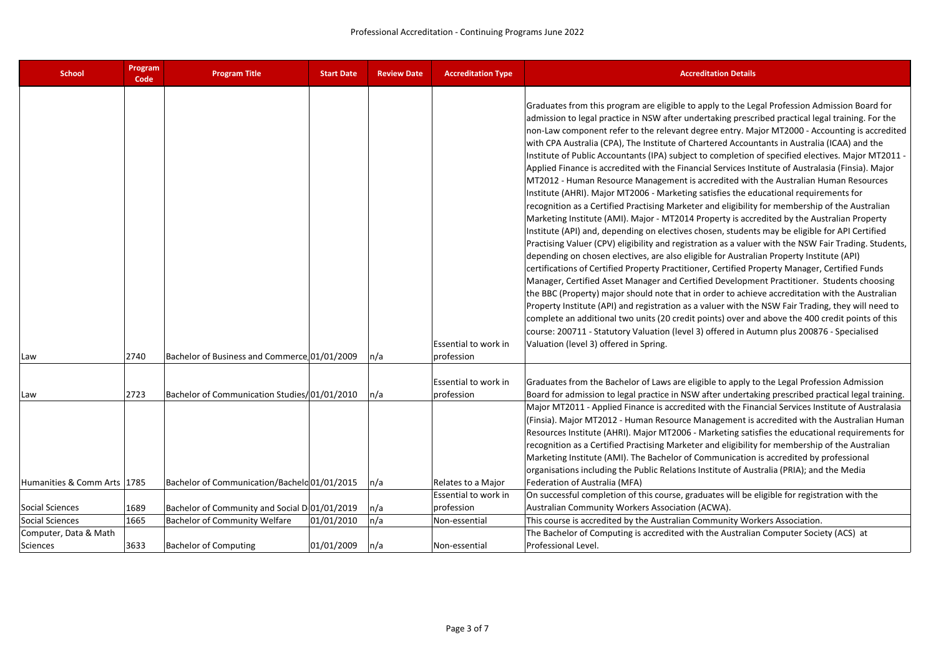| <b>School</b>                     | Program<br>Code | <b>Program Title</b>                          | <b>Start Date</b> | <b>Review Date</b> | <b>Accreditation Type</b>          | <b>Accreditation Details</b>                                                                                                                                                                                                                                                                                                                                                                                                                                                                                                                                                                                                                                                                                                                                                                                                                                                                                                                                                                                                                                                                                                                                                                                                                                                                                                                                                                                                                                                                                                                                                                                                                                                                                                                                                                                                                                                                                                                                   |
|-----------------------------------|-----------------|-----------------------------------------------|-------------------|--------------------|------------------------------------|----------------------------------------------------------------------------------------------------------------------------------------------------------------------------------------------------------------------------------------------------------------------------------------------------------------------------------------------------------------------------------------------------------------------------------------------------------------------------------------------------------------------------------------------------------------------------------------------------------------------------------------------------------------------------------------------------------------------------------------------------------------------------------------------------------------------------------------------------------------------------------------------------------------------------------------------------------------------------------------------------------------------------------------------------------------------------------------------------------------------------------------------------------------------------------------------------------------------------------------------------------------------------------------------------------------------------------------------------------------------------------------------------------------------------------------------------------------------------------------------------------------------------------------------------------------------------------------------------------------------------------------------------------------------------------------------------------------------------------------------------------------------------------------------------------------------------------------------------------------------------------------------------------------------------------------------------------------|
| Law                               | 2740            | Bachelor of Business and Commerce 01/01/2009  |                   | n/a                | Essential to work in<br>profession | Graduates from this program are eligible to apply to the Legal Profession Admission Board for<br>admission to legal practice in NSW after undertaking prescribed practical legal training. For the<br>non-Law component refer to the relevant degree entry. Major MT2000 - Accounting is accredited<br>with CPA Australia (CPA), The Institute of Chartered Accountants in Australia (ICAA) and the<br>Institute of Public Accountants (IPA) subject to completion of specified electives. Major MT2011 -<br>Applied Finance is accredited with the Financial Services Institute of Australasia (Finsia). Major<br>MT2012 - Human Resource Management is accredited with the Australian Human Resources<br>Institute (AHRI). Major MT2006 - Marketing satisfies the educational requirements for<br>recognition as a Certified Practising Marketer and eligibility for membership of the Australian<br>Marketing Institute (AMI). Major - MT2014 Property is accredited by the Australian Property<br>Institute (API) and, depending on electives chosen, students may be eligible for API Certified<br>Practising Valuer (CPV) eligibility and registration as a valuer with the NSW Fair Trading. Students,<br>depending on chosen electives, are also eligible for Australian Property Institute (API)<br>certifications of Certified Property Practitioner, Certified Property Manager, Certified Funds<br>Manager, Certified Asset Manager and Certified Development Practitioner. Students choosing<br>the BBC (Property) major should note that in order to achieve accreditation with the Australian<br>Property Institute (API) and registration as a valuer with the NSW Fair Trading, they will need to<br>complete an additional two units (20 credit points) over and above the 400 credit points of this<br>course: 200711 - Statutory Valuation (level 3) offered in Autumn plus 200876 - Specialised<br>Valuation (level 3) offered in Spring. |
| Law                               | 2723            | Bachelor of Communication Studies/01/01/2010  |                   | n/a                | Essential to work in<br>profession | Graduates from the Bachelor of Laws are eligible to apply to the Legal Profession Admission<br>Board for admission to legal practice in NSW after undertaking prescribed practical legal training.                                                                                                                                                                                                                                                                                                                                                                                                                                                                                                                                                                                                                                                                                                                                                                                                                                                                                                                                                                                                                                                                                                                                                                                                                                                                                                                                                                                                                                                                                                                                                                                                                                                                                                                                                             |
| Humanities & Comm Arts 1785       |                 | Bachelor of Communication/Bachelo 01/01/2015  |                   | n/a                | Relates to a Major                 | Major MT2011 - Applied Finance is accredited with the Financial Services Institute of Australasia<br>(Finsia). Major MT2012 - Human Resource Management is accredited with the Australian Human<br>Resources Institute (AHRI). Major MT2006 - Marketing satisfies the educational requirements for<br>recognition as a Certified Practising Marketer and eligibility for membership of the Australian<br>Marketing Institute (AMI). The Bachelor of Communication is accredited by professional<br>organisations including the Public Relations Institute of Australia (PRIA); and the Media<br>Federation of Australia (MFA)                                                                                                                                                                                                                                                                                                                                                                                                                                                                                                                                                                                                                                                                                                                                                                                                                                                                                                                                                                                                                                                                                                                                                                                                                                                                                                                                  |
|                                   |                 |                                               |                   |                    | Essential to work in               | On successful completion of this course, graduates will be eligible for registration with the                                                                                                                                                                                                                                                                                                                                                                                                                                                                                                                                                                                                                                                                                                                                                                                                                                                                                                                                                                                                                                                                                                                                                                                                                                                                                                                                                                                                                                                                                                                                                                                                                                                                                                                                                                                                                                                                  |
| <b>Social Sciences</b>            | 1689            | Bachelor of Community and Social D 01/01/2019 |                   | n/a                | profession                         | Australian Community Workers Association (ACWA).                                                                                                                                                                                                                                                                                                                                                                                                                                                                                                                                                                                                                                                                                                                                                                                                                                                                                                                                                                                                                                                                                                                                                                                                                                                                                                                                                                                                                                                                                                                                                                                                                                                                                                                                                                                                                                                                                                               |
| Social Sciences                   | 1665            | <b>Bachelor of Community Welfare</b>          | 01/01/2010        | n/a                | Non-essential                      | This course is accredited by the Australian Community Workers Association.                                                                                                                                                                                                                                                                                                                                                                                                                                                                                                                                                                                                                                                                                                                                                                                                                                                                                                                                                                                                                                                                                                                                                                                                                                                                                                                                                                                                                                                                                                                                                                                                                                                                                                                                                                                                                                                                                     |
| Computer, Data & Math<br>Sciences | 3633            | <b>Bachelor of Computing</b>                  | 01/01/2009        | n/a                | Non-essential                      | The Bachelor of Computing is accredited with the Australian Computer Society (ACS) at<br>Professional Level.                                                                                                                                                                                                                                                                                                                                                                                                                                                                                                                                                                                                                                                                                                                                                                                                                                                                                                                                                                                                                                                                                                                                                                                                                                                                                                                                                                                                                                                                                                                                                                                                                                                                                                                                                                                                                                                   |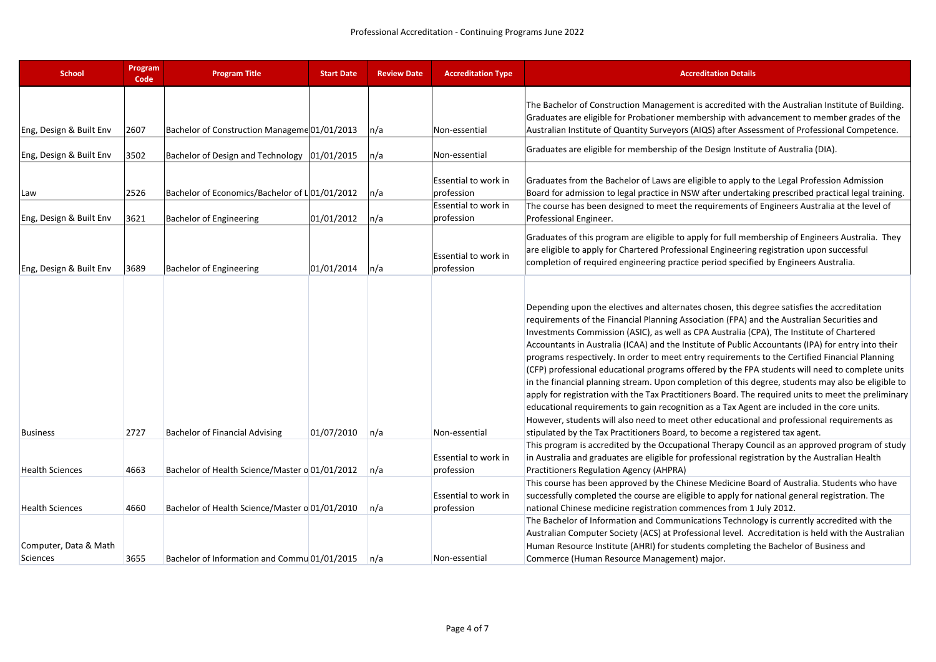| <b>School</b>                     | Program<br>Code | <b>Program Title</b>                           | <b>Start Date</b> | <b>Review Date</b> | <b>Accreditation Type</b>                                  | <b>Accreditation Details</b>                                                                                                                                                                                                                                                                                                                                                                                                                                                                                                                                                                                                                                                                                                                                                                                                                                                                                                                                                                                                                                                                 |
|-----------------------------------|-----------------|------------------------------------------------|-------------------|--------------------|------------------------------------------------------------|----------------------------------------------------------------------------------------------------------------------------------------------------------------------------------------------------------------------------------------------------------------------------------------------------------------------------------------------------------------------------------------------------------------------------------------------------------------------------------------------------------------------------------------------------------------------------------------------------------------------------------------------------------------------------------------------------------------------------------------------------------------------------------------------------------------------------------------------------------------------------------------------------------------------------------------------------------------------------------------------------------------------------------------------------------------------------------------------|
| Eng, Design & Built Env           | 2607            | Bachelor of Construction Manageme 01/01/2013   |                   | n/a                | Non-essential                                              | The Bachelor of Construction Management is accredited with the Australian Institute of Building.<br>Graduates are eligible for Probationer membership with advancement to member grades of the<br>Australian Institute of Quantity Surveyors (AIQS) after Assessment of Professional Competence.                                                                                                                                                                                                                                                                                                                                                                                                                                                                                                                                                                                                                                                                                                                                                                                             |
| Eng, Design & Built Env           | 3502            | Bachelor of Design and Technology   01/01/2015 |                   | n/a                | Non-essential                                              | Graduates are eligible for membership of the Design Institute of Australia (DIA).                                                                                                                                                                                                                                                                                                                                                                                                                                                                                                                                                                                                                                                                                                                                                                                                                                                                                                                                                                                                            |
| Law                               | 2526            | Bachelor of Economics/Bachelor of L 01/01/2012 |                   | n/a                | Essential to work in<br>profession<br>Essential to work in | Graduates from the Bachelor of Laws are eligible to apply to the Legal Profession Admission<br>Board for admission to legal practice in NSW after undertaking prescribed practical legal training.<br>The course has been designed to meet the requirements of Engineers Australia at the level of                                                                                                                                                                                                                                                                                                                                                                                                                                                                                                                                                                                                                                                                                                                                                                                           |
| Eng, Design & Built Env           | 3621            | <b>Bachelor of Engineering</b>                 | 01/01/2012        | n/a                | profession                                                 | Professional Engineer.                                                                                                                                                                                                                                                                                                                                                                                                                                                                                                                                                                                                                                                                                                                                                                                                                                                                                                                                                                                                                                                                       |
| Eng, Design & Built Env           | 3689            | <b>Bachelor of Engineering</b>                 | 01/01/2014        | n/a                | Essential to work in<br>profession                         | Graduates of this program are eligible to apply for full membership of Engineers Australia. They<br>are eligible to apply for Chartered Professional Engineering registration upon successful<br>completion of required engineering practice period specified by Engineers Australia.                                                                                                                                                                                                                                                                                                                                                                                                                                                                                                                                                                                                                                                                                                                                                                                                        |
| <b>Business</b>                   | 2727            | <b>Bachelor of Financial Advising</b>          | 01/07/2010        | n/a                | Non-essential                                              | Depending upon the electives and alternates chosen, this degree satisfies the accreditation<br>requirements of the Financial Planning Association (FPA) and the Australian Securities and<br>Investments Commission (ASIC), as well as CPA Australia (CPA), The Institute of Chartered<br>Accountants in Australia (ICAA) and the Institute of Public Accountants (IPA) for entry into their<br>programs respectively. In order to meet entry requirements to the Certified Financial Planning<br>(CFP) professional educational programs offered by the FPA students will need to complete units<br>in the financial planning stream. Upon completion of this degree, students may also be eligible to<br>apply for registration with the Tax Practitioners Board. The required units to meet the preliminary<br>educational requirements to gain recognition as a Tax Agent are included in the core units.<br>However, students will also need to meet other educational and professional requirements as<br>stipulated by the Tax Practitioners Board, to become a registered tax agent. |
| <b>Health Sciences</b>            | 4663            | Bachelor of Health Science/Master o 01/01/2012 |                   | n/a                | Essential to work in<br>profession                         | This program is accredited by the Occupational Therapy Council as an approved program of study<br>in Australia and graduates are eligible for professional registration by the Australian Health<br>Practitioners Regulation Agency (AHPRA)                                                                                                                                                                                                                                                                                                                                                                                                                                                                                                                                                                                                                                                                                                                                                                                                                                                  |
| <b>Health Sciences</b>            | 4660            | Bachelor of Health Science/Master o 01/01/2010 |                   | n/a                | Essential to work in<br>profession                         | This course has been approved by the Chinese Medicine Board of Australia. Students who have<br>successfully completed the course are eligible to apply for national general registration. The<br>national Chinese medicine registration commences from 1 July 2012.                                                                                                                                                                                                                                                                                                                                                                                                                                                                                                                                                                                                                                                                                                                                                                                                                          |
| Computer, Data & Math<br>Sciences | 3655            | Bachelor of Information and Commu 01/01/2015   |                   | n/a                | Non-essential                                              | The Bachelor of Information and Communications Technology is currently accredited with the<br>Australian Computer Society (ACS) at Professional level. Accreditation is held with the Australian<br>Human Resource Institute (AHRI) for students completing the Bachelor of Business and<br>Commerce (Human Resource Management) major.                                                                                                                                                                                                                                                                                                                                                                                                                                                                                                                                                                                                                                                                                                                                                      |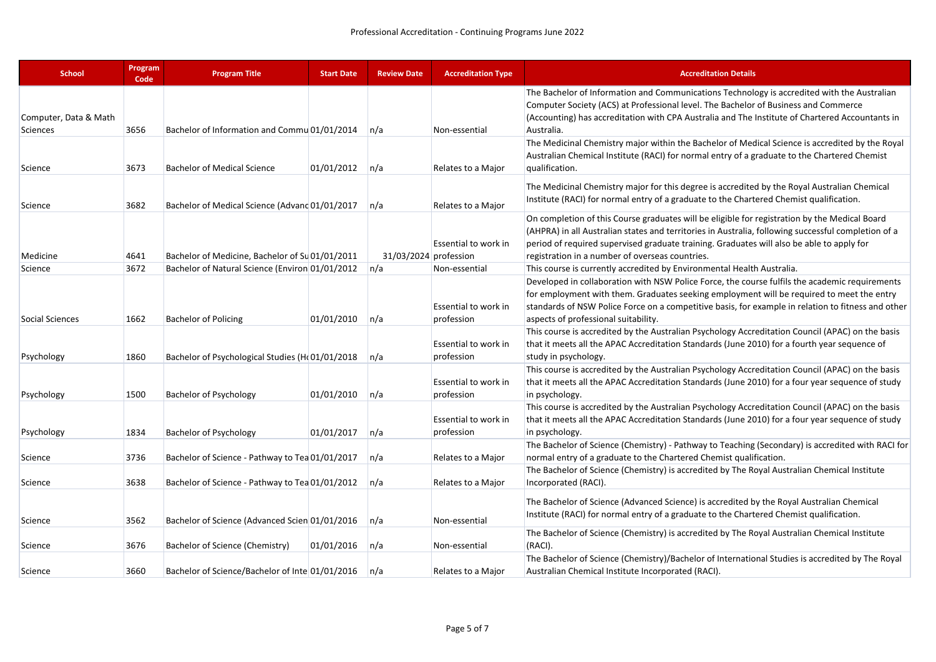| <b>School</b>         | Program<br>Code | <b>Program Title</b>                            | <b>Start Date</b> | <b>Review Date</b>    | <b>Accreditation Type</b>          | <b>Accreditation Details</b>                                                                                                                                                                                                                                                                                                                         |
|-----------------------|-----------------|-------------------------------------------------|-------------------|-----------------------|------------------------------------|------------------------------------------------------------------------------------------------------------------------------------------------------------------------------------------------------------------------------------------------------------------------------------------------------------------------------------------------------|
| Computer, Data & Math |                 |                                                 |                   |                       |                                    | The Bachelor of Information and Communications Technology is accredited with the Australian<br>Computer Society (ACS) at Professional level. The Bachelor of Business and Commerce<br>(Accounting) has accreditation with CPA Australia and The Institute of Chartered Accountants in                                                                |
| Sciences              | 3656            | Bachelor of Information and Commu 01/01/2014    |                   | n/a                   | Non-essential                      | Australia.                                                                                                                                                                                                                                                                                                                                           |
| Science               | 3673            | <b>Bachelor of Medical Science</b>              | 01/01/2012        | n/a                   | Relates to a Major                 | The Medicinal Chemistry major within the Bachelor of Medical Science is accredited by the Royal<br>Australian Chemical Institute (RACI) for normal entry of a graduate to the Chartered Chemist<br>qualification.                                                                                                                                    |
| Science               | 3682            | Bachelor of Medical Science (Advand 01/01/2017  |                   | n/a                   | Relates to a Major                 | The Medicinal Chemistry major for this degree is accredited by the Royal Australian Chemical<br>Institute (RACI) for normal entry of a graduate to the Chartered Chemist qualification.                                                                                                                                                              |
| Medicine              | 4641            | Bachelor of Medicine, Bachelor of Su 01/01/2011 |                   | 31/03/2024 profession | Essential to work in               | On completion of this Course graduates will be eligible for registration by the Medical Board<br>(AHPRA) in all Australian states and territories in Australia, following successful completion of a<br>period of required supervised graduate training. Graduates will also be able to apply for<br>registration in a number of overseas countries. |
| Science               | 3672            | Bachelor of Natural Science (Environ 01/01/2012 |                   | n/a                   | Non-essential                      | This course is currently accredited by Environmental Health Australia.                                                                                                                                                                                                                                                                               |
| Social Sciences       | 1662            | <b>Bachelor of Policing</b>                     | 01/01/2010        | n/a                   | Essential to work in<br>profession | Developed in collaboration with NSW Police Force, the course fulfils the academic requirements<br>for employment with them. Graduates seeking employment will be required to meet the entry<br>standards of NSW Police Force on a competitive basis, for example in relation to fitness and other<br>aspects of professional suitability.            |
| Psychology            | 1860            | Bachelor of Psychological Studies (H(01/01/2018 |                   | n/a                   | Essential to work in<br>profession | This course is accredited by the Australian Psychology Accreditation Council (APAC) on the basis<br>that it meets all the APAC Accreditation Standards (June 2010) for a fourth year sequence of<br>study in psychology.                                                                                                                             |
| Psychology            | 1500            | <b>Bachelor of Psychology</b>                   | 01/01/2010        | n/a                   | Essential to work in<br>profession | This course is accredited by the Australian Psychology Accreditation Council (APAC) on the basis<br>that it meets all the APAC Accreditation Standards (June 2010) for a four year sequence of study<br>in psychology.                                                                                                                               |
| Psychology            | 1834            | Bachelor of Psychology                          | 01/01/2017        | n/a                   | Essential to work in<br>profession | This course is accredited by the Australian Psychology Accreditation Council (APAC) on the basis<br>that it meets all the APAC Accreditation Standards (June 2010) for a four year sequence of study<br>in psychology.                                                                                                                               |
| Science               | 3736            | Bachelor of Science - Pathway to Tea 01/01/2017 |                   | n/a                   | Relates to a Major                 | The Bachelor of Science (Chemistry) - Pathway to Teaching (Secondary) is accredited with RACI for<br>normal entry of a graduate to the Chartered Chemist qualification.                                                                                                                                                                              |
| Science               | 3638            | Bachelor of Science - Pathway to Tea 01/01/2012 |                   | n/a                   | Relates to a Major                 | The Bachelor of Science (Chemistry) is accredited by The Royal Australian Chemical Institute<br>Incorporated (RACI).                                                                                                                                                                                                                                 |
| Science               | 3562            | Bachelor of Science (Advanced Scien 01/01/2016  |                   | n/a                   | Non-essential                      | The Bachelor of Science (Advanced Science) is accredited by the Royal Australian Chemical<br>Institute (RACI) for normal entry of a graduate to the Chartered Chemist qualification.                                                                                                                                                                 |
| Science               | 3676            | Bachelor of Science (Chemistry)                 | 01/01/2016        | n/a                   | Non-essential                      | The Bachelor of Science (Chemistry) is accredited by The Royal Australian Chemical Institute<br>(RACI).                                                                                                                                                                                                                                              |
| Science               | 3660            | Bachelor of Science/Bachelor of Inte 01/01/2016 |                   | n/a                   | Relates to a Major                 | The Bachelor of Science (Chemistry)/Bachelor of International Studies is accredited by The Royal<br>Australian Chemical Institute Incorporated (RACI).                                                                                                                                                                                               |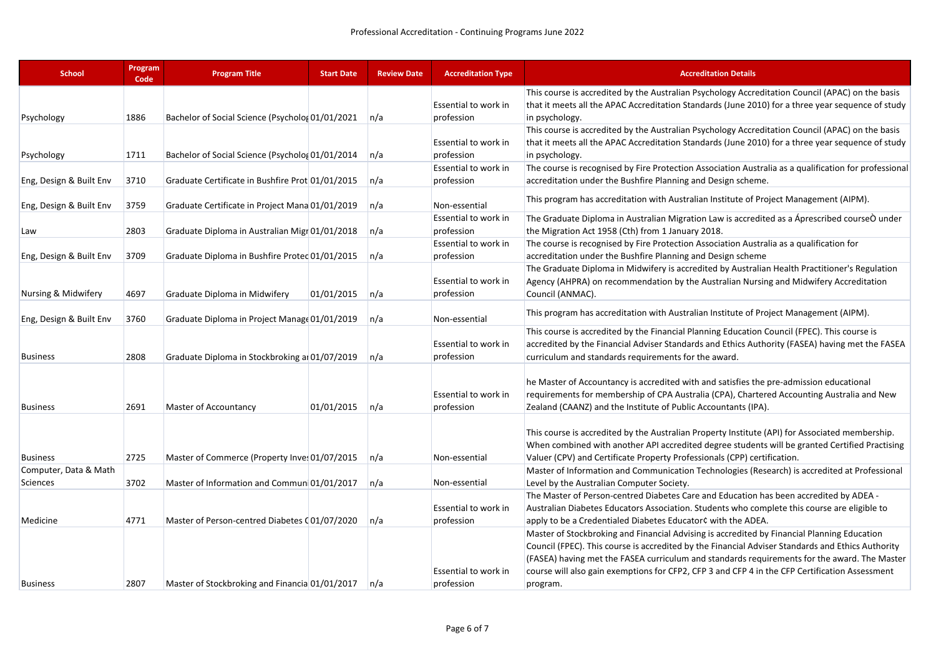| <b>School</b>           | Program<br>Code | <b>Program Title</b>                             | <b>Start Date</b> | <b>Review Date</b> | <b>Accreditation Type</b> | <b>Accreditation Details</b>                                                                                                                                                                      |
|-------------------------|-----------------|--------------------------------------------------|-------------------|--------------------|---------------------------|---------------------------------------------------------------------------------------------------------------------------------------------------------------------------------------------------|
|                         |                 |                                                  |                   |                    |                           | This course is accredited by the Australian Psychology Accreditation Council (APAC) on the basis                                                                                                  |
|                         |                 |                                                  |                   |                    | Essential to work in      | that it meets all the APAC Accreditation Standards (June 2010) for a three year sequence of study                                                                                                 |
| Psychology              | 1886            | Bachelor of Social Science (Psycholog 01/01/2021 |                   | n/a                | profession                | in psychology.                                                                                                                                                                                    |
|                         |                 |                                                  |                   |                    |                           | This course is accredited by the Australian Psychology Accreditation Council (APAC) on the basis                                                                                                  |
|                         |                 |                                                  |                   |                    | Essential to work in      | that it meets all the APAC Accreditation Standards (June 2010) for a three year sequence of study                                                                                                 |
| Psychology              | 1711            | Bachelor of Social Science (Psycholog 01/01/2014 |                   | n/a                | profession                | in psychology.                                                                                                                                                                                    |
|                         |                 |                                                  |                   |                    | Essential to work in      | The course is recognised by Fire Protection Association Australia as a qualification for professional                                                                                             |
| Eng, Design & Built Env | 3710            | Graduate Certificate in Bushfire Prot 01/01/2015 |                   | n/a                | profession                | accreditation under the Bushfire Planning and Design scheme.                                                                                                                                      |
| Eng, Design & Built Env | 3759            | Graduate Certificate in Project Mana 01/01/2019  |                   | n/a                | Non-essential             | This program has accreditation with Australian Institute of Project Management (AIPM).                                                                                                            |
|                         |                 |                                                  |                   |                    | Essential to work in      | The Graduate Diploma in Australian Migration Law is accredited as a Aprescribed courseO under                                                                                                     |
| Law                     | 2803            | Graduate Diploma in Australian Migr 01/01/2018   |                   | n/a                | profession                | the Migration Act 1958 (Cth) from 1 January 2018.                                                                                                                                                 |
|                         |                 |                                                  |                   |                    | Essential to work in      | The course is recognised by Fire Protection Association Australia as a qualification for                                                                                                          |
| Eng, Design & Built Env | 3709            | Graduate Diploma in Bushfire Proted 01/01/2015   |                   | n/a                | profession                | accreditation under the Bushfire Planning and Design scheme                                                                                                                                       |
|                         |                 |                                                  |                   |                    |                           | The Graduate Diploma in Midwifery is accredited by Australian Health Practitioner's Regulation                                                                                                    |
|                         |                 |                                                  |                   |                    | Essential to work in      | Agency (AHPRA) on recommendation by the Australian Nursing and Midwifery Accreditation                                                                                                            |
| Nursing & Midwifery     | 4697            | Graduate Diploma in Midwifery                    | 01/01/2015        | n/a                | profession                | Council (ANMAC).                                                                                                                                                                                  |
| Eng, Design & Built Env | 3760            | Graduate Diploma in Project Manage 01/01/2019    |                   | n/a                | Non-essential             | This program has accreditation with Australian Institute of Project Management (AIPM).                                                                                                            |
|                         |                 |                                                  |                   |                    |                           | This course is accredited by the Financial Planning Education Council (FPEC). This course is                                                                                                      |
|                         |                 |                                                  |                   |                    | Essential to work in      | accredited by the Financial Adviser Standards and Ethics Authority (FASEA) having met the FASEA                                                                                                   |
| <b>Business</b>         | 2808            | Graduate Diploma in Stockbroking at 01/07/2019   |                   | n/a                | profession                | curriculum and standards requirements for the award.                                                                                                                                              |
|                         |                 |                                                  |                   |                    |                           | he Master of Accountancy is accredited with and satisfies the pre-admission educational                                                                                                           |
|                         |                 |                                                  |                   |                    | Essential to work in      | requirements for membership of CPA Australia (CPA), Chartered Accounting Australia and New                                                                                                        |
| <b>Business</b>         | 2691            | Master of Accountancy                            | 01/01/2015        | n/a                | profession                | Zealand (CAANZ) and the Institute of Public Accountants (IPA).                                                                                                                                    |
|                         |                 |                                                  |                   |                    |                           | This course is accredited by the Australian Property Institute (API) for Associated membership.<br>When combined with another API accredited degree students will be granted Certified Practising |
| <b>Business</b>         | 2725            | Master of Commerce (Property Inves 01/07/2015    |                   | n/a                | Non-essential             | Valuer (CPV) and Certificate Property Professionals (CPP) certification.                                                                                                                          |
| Computer, Data & Math   |                 |                                                  |                   |                    |                           | Master of Information and Communication Technologies (Research) is accredited at Professional                                                                                                     |
| Sciences                | 3702            | Master of Information and Commun 01/01/2017      |                   | n/a                | Non-essential             | Level by the Australian Computer Society.                                                                                                                                                         |
|                         |                 |                                                  |                   |                    |                           | The Master of Person-centred Diabetes Care and Education has been accredited by ADEA -                                                                                                            |
|                         |                 |                                                  |                   |                    | Essential to work in      | Australian Diabetes Educators Association. Students who complete this course are eligible to                                                                                                      |
| Medicine                | 4771            | Master of Person-centred Diabetes (01/07/2020    |                   | n/a                | profession                | apply to be a Credentialed Diabetes Educator¢ with the ADEA.                                                                                                                                      |
|                         |                 |                                                  |                   |                    |                           | Master of Stockbroking and Financial Advising is accredited by Financial Planning Education                                                                                                       |
|                         |                 |                                                  |                   |                    |                           | Council (FPEC). This course is accredited by the Financial Adviser Standards and Ethics Authority                                                                                                 |
|                         |                 |                                                  |                   |                    |                           | (FASEA) having met the FASEA curriculum and standards requirements for the award. The Master                                                                                                      |
|                         |                 |                                                  |                   |                    | Essential to work in      | course will also gain exemptions for CFP2, CFP 3 and CFP 4 in the CFP Certification Assessment                                                                                                    |
| <b>Business</b>         | 2807            | Master of Stockbroking and Financia 01/01/2017   |                   | n/a                | profession                | program.                                                                                                                                                                                          |